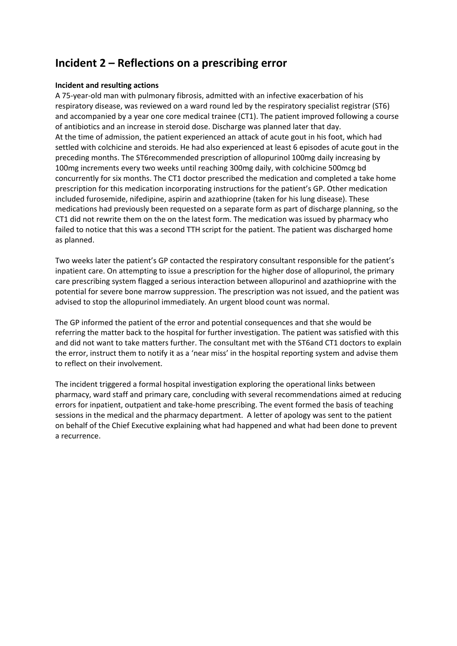# **Incident 2 – Reflections on a prescribing error**

### **Incident and resulting actions**

A 75-year-old man with pulmonary fibrosis, admitted with an infective exacerbation of his respiratory disease, was reviewed on a ward round led by the respiratory specialist registrar (ST6) and accompanied by a year one core medical trainee (CT1). The patient improved following a course of antibiotics and an increase in steroid dose. Discharge was planned later that day. At the time of admission, the patient experienced an attack of acute gout in his foot, which had settled with colchicine and steroids. He had also experienced at least 6 episodes of acute gout in the preceding months. The ST6recommended prescription of allopurinol 100mg daily increasing by 100mg increments every two weeks until reaching 300mg daily, with colchicine 500mcg bd concurrently for six months. The CT1 doctor prescribed the medication and completed a take home prescription for this medication incorporating instructions for the patient's GP. Other medication included furosemide, nifedipine, aspirin and azathioprine (taken for his lung disease). These medications had previously been requested on a separate form as part of discharge planning, so the CT1 did not rewrite them on the on the latest form. The medication was issued by pharmacy who failed to notice that this was a second TTH script for the patient. The patient was discharged home as planned.

Two weeks later the patient's GP contacted the respiratory consultant responsible for the patient's inpatient care. On attempting to issue a prescription for the higher dose of allopurinol, the primary care prescribing system flagged a serious interaction between allopurinol and azathioprine with the potential for severe bone marrow suppression. The prescription was not issued, and the patient was advised to stop the allopurinol immediately. An urgent blood count was normal.

The GP informed the patient of the error and potential consequences and that she would be referring the matter back to the hospital for further investigation. The patient was satisfied with this and did not want to take matters further. The consultant met with the ST6and CT1 doctors to explain the error, instruct them to notify it as a 'near miss' in the hospital reporting system and advise them to reflect on their involvement.

The incident triggered a formal hospital investigation exploring the operational links between pharmacy, ward staff and primary care, concluding with several recommendations aimed at reducing errors for inpatient, outpatient and take-home prescribing. The event formed the basis of teaching sessions in the medical and the pharmacy department. A letter of apology was sent to the patient on behalf of the Chief Executive explaining what had happened and what had been done to prevent a recurrence.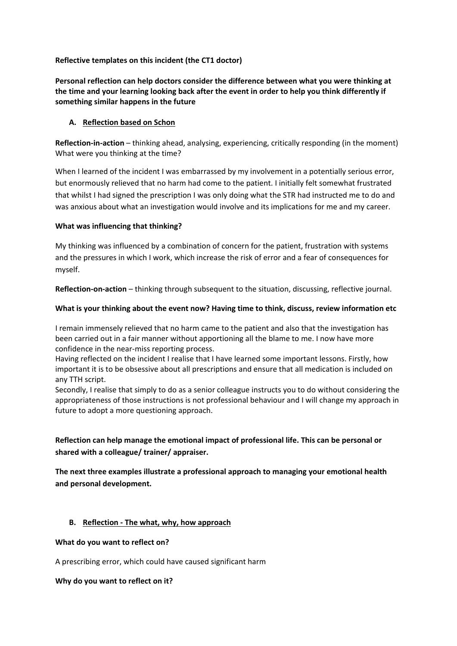**Reflective templates on this incident (the CT1 doctor)**

**Personal reflection can help doctors consider the difference between what you were thinking at the time and your learning looking back after the event in order to help you think differently if something similar happens in the future** 

# **A. Reflection based on Schon**

**Reflection-in-action** – thinking ahead, analysing, experiencing, critically responding (in the moment) What were you thinking at the time?

When I learned of the incident I was embarrassed by my involvement in a potentially serious error, but enormously relieved that no harm had come to the patient. I initially felt somewhat frustrated that whilst I had signed the prescription I was only doing what the STR had instructed me to do and was anxious about what an investigation would involve and its implications for me and my career.

# **What was influencing that thinking?**

My thinking was influenced by a combination of concern for the patient, frustration with systems and the pressures in which I work, which increase the risk of error and a fear of consequences for myself.

**Reflection-on-action** – thinking through subsequent to the situation, discussing, reflective journal.

# **What is your thinking about the event now? Having time to think, discuss, review information etc**

I remain immensely relieved that no harm came to the patient and also that the investigation has been carried out in a fair manner without apportioning all the blame to me. I now have more confidence in the near-miss reporting process.

Having reflected on the incident I realise that I have learned some important lessons. Firstly, how important it is to be obsessive about all prescriptions and ensure that all medication is included on any TTH script.

Secondly, I realise that simply to do as a senior colleague instructs you to do without considering the appropriateness of those instructions is not professional behaviour and I will change my approach in future to adopt a more questioning approach.

# **Reflection can help manage the emotional impact of professional life. This can be personal or shared with a colleague/ trainer/ appraiser.**

**The next three examples illustrate a professional approach to managing your emotional health and personal development.** 

# **B. Reflection - The what, why, how approach**

### **What do you want to reflect on?**

A prescribing error, which could have caused significant harm

### **Why do you want to reflect on it?**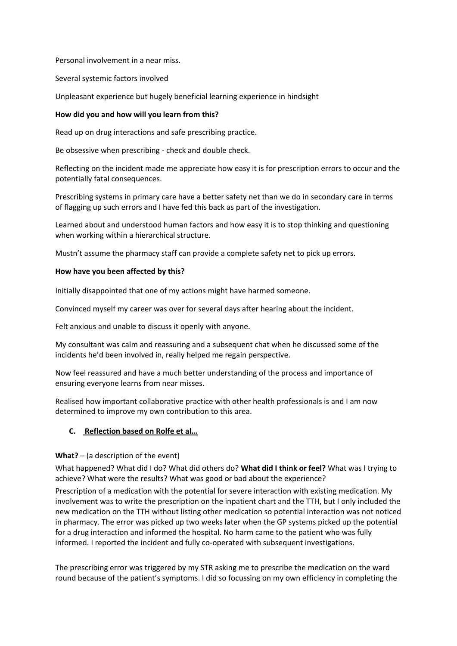Personal involvement in a near miss.

Several systemic factors involved

Unpleasant experience but hugely beneficial learning experience in hindsight

# **How did you and how will you learn from this?**

Read up on drug interactions and safe prescribing practice.

Be obsessive when prescribing - check and double check.

Reflecting on the incident made me appreciate how easy it is for prescription errors to occur and the potentially fatal consequences.

Prescribing systems in primary care have a better safety net than we do in secondary care in terms of flagging up such errors and I have fed this back as part of the investigation.

Learned about and understood human factors and how easy it is to stop thinking and questioning when working within a hierarchical structure.

Mustn't assume the pharmacy staff can provide a complete safety net to pick up errors.

# **How have you been affected by this?**

Initially disappointed that one of my actions might have harmed someone.

Convinced myself my career was over for several days after hearing about the incident.

Felt anxious and unable to discuss it openly with anyone.

My consultant was calm and reassuring and a subsequent chat when he discussed some of the incidents he'd been involved in, really helped me regain perspective.

Now feel reassured and have a much better understanding of the process and importance of ensuring everyone learns from near misses.

Realised how important collaborative practice with other health professionals is and I am now determined to improve my own contribution to this area.

# **C. Reflection based on Rolfe et al…**

### **What?** – (a description of the event)

What happened? What did I do? What did others do? **What did I think or feel?** What was I trying to achieve? What were the results? What was good or bad about the experience?

Prescription of a medication with the potential for severe interaction with existing medication. My involvement was to write the prescription on the inpatient chart and the TTH, but I only included the new medication on the TTH without listing other medication so potential interaction was not noticed in pharmacy. The error was picked up two weeks later when the GP systems picked up the potential for a drug interaction and informed the hospital. No harm came to the patient who was fully informed. I reported the incident and fully co-operated with subsequent investigations.

The prescribing error was triggered by my STR asking me to prescribe the medication on the ward round because of the patient's symptoms. I did so focussing on my own efficiency in completing the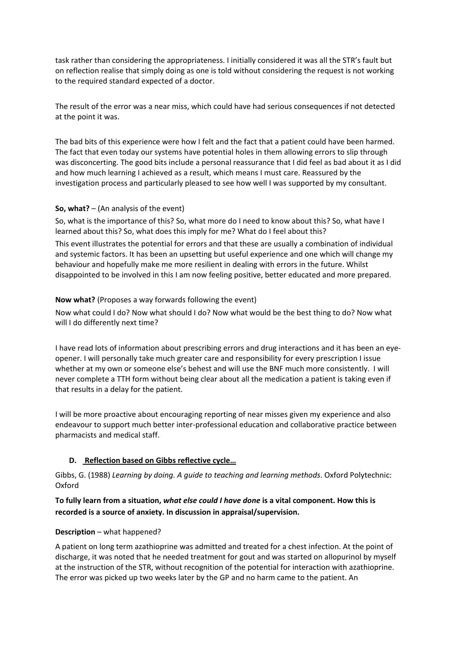task rather than considering the appropriateness. I initially considered it was all the STR's fault but on reflection realise that simply doing as one is told without considering the request is not working to the required standard expected of a doctor.

The result of the error was a near miss, which could have had serious consequences if not detected at the point it was.

The bad bits of this experience were how I felt and the fact that a patient could have been harmed. The fact that even today our systems have potential holes in them allowing errors to slip through was disconcerting. The good bits include a personal reassurance that I did feel as bad about it as I did and how much learning I achieved as a result, which means I must care. Reassured by the investigation process and particularly pleased to see how well I was supported by my consultant.

# **So, what?** – (An analysis of the event)

So, what is the importance of this? So, what more do I need to know about this? So, what have I learned about this? So, what does this imply for me? What do I feel about this?

This event illustrates the potential for errors and that these are usually a combination of individual and systemic factors. It has been an upsetting but useful experience and one which will change my behaviour and hopefully make me more resilient in dealing with errors in the future. Whilst disappointed to be involved in this I am now feeling positive, better educated and more prepared.

# **Now what?** (Proposes a way forwards following the event)

Now what could I do? Now what should I do? Now what would be the best thing to do? Now what will I do differently next time?

I have read lots of information about prescribing errors and drug interactions and it has been an eyeopener. I will personally take much greater care and responsibility for every prescription I issue whether at my own or someone else's behest and will use the BNF much more consistently. I will never complete a TTH form without being clear about all the medication a patient is taking even if that results in a delay for the patient.

I will be more proactive about encouraging reporting of near misses given my experience and also endeavour to support much better inter-professional education and collaborative practice between pharmacists and medical staff.

# **D. Reflection based on Gibbs reflective cycle…**

Gibbs, G. (1988) *Learning by doing. A guide to teaching and learning methods*. Oxford Polytechnic: Oxford

# **To fully learn from a situation,** *what else could I have done* **is a vital component. How this is recorded is a source of anxiety. In discussion in appraisal/supervision.**

### **Description** – what happened?

A patient on long term azathioprine was admitted and treated for a chest infection. At the point of discharge, it was noted that he needed treatment for gout and was started on allopurinol by myself at the instruction of the STR, without recognition of the potential for interaction with azathioprine. The error was picked up two weeks later by the GP and no harm came to the patient. An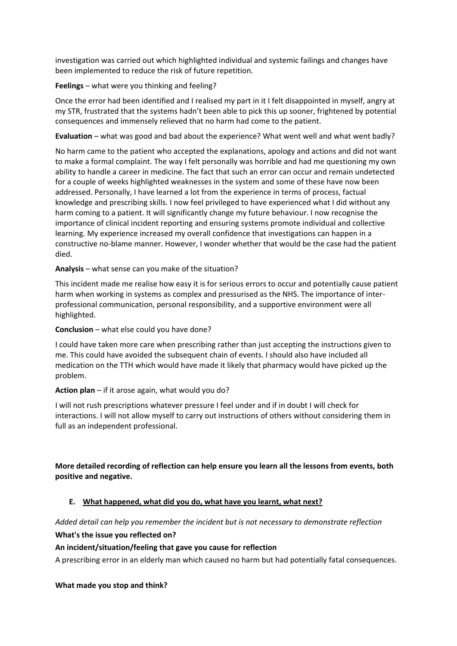investigation was carried out which highlighted individual and systemic failings and changes have been implemented to reduce the risk of future repetition.

# **Feelings** – what were you thinking and feeling?

Once the error had been identified and I realised my part in it I felt disappointed in myself, angry at my STR, frustrated that the systems hadn't been able to pick this up sooner, frightened by potential consequences and immensely relieved that no harm had come to the patient.

**Evaluation** – what was good and bad about the experience? What went well and what went badly?

No harm came to the patient who accepted the explanations, apology and actions and did not want to make a formal complaint. The way I felt personally was horrible and had me questioning my own ability to handle a career in medicine. The fact that such an error can occur and remain undetected for a couple of weeks highlighted weaknesses in the system and some of these have now been addressed. Personally, I have learned a lot from the experience in terms of process, factual knowledge and prescribing skills. I now feel privileged to have experienced what I did without any harm coming to a patient. It will significantly change my future behaviour. I now recognise the importance of clinical incident reporting and ensuring systems promote individual and collective learning. My experience increased my overall confidence that investigations can happen in a constructive no-blame manner. However, I wonder whether that would be the case had the patient died.

**Analysis** – what sense can you make of the situation?

This incident made me realise how easy it is for serious errors to occur and potentially cause patient harm when working in systems as complex and pressurised as the NHS. The importance of interprofessional communication, personal responsibility, and a supportive environment were all highlighted.

# **Conclusion** – what else could you have done?

I could have taken more care when prescribing rather than just accepting the instructions given to me. This could have avoided the subsequent chain of events. I should also have included all medication on the TTH which would have made it likely that pharmacy would have picked up the problem.

### **Action plan** – if it arose again, what would you do?

I will not rush prescriptions whatever pressure I feel under and if in doubt I will check for interactions. I will not allow myself to carry out instructions of others without considering them in full as an independent professional.

# **More detailed recording of reflection can help ensure you learn all the lessons from events, both positive and negative.**

# **E. What happened, what did you do, what have you learnt, what next?**

*Added detail can help you remember the incident but is not necessary to demonstrate reflection*

### **What's the issue you reflected on?**

# **An incident/situation/feeling that gave you cause for reflection**

A prescribing error in an elderly man which caused no harm but had potentially fatal consequences.

### **What made you stop and think?**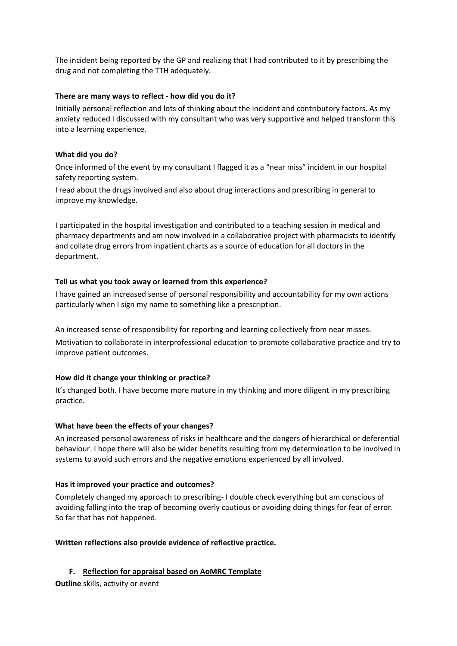The incident being reported by the GP and realizing that I had contributed to it by prescribing the drug and not completing the TTH adequately.

# **There are many ways to reflect - how did you do it?**

Initially personal reflection and lots of thinking about the incident and contributory factors. As my anxiety reduced I discussed with my consultant who was very supportive and helped transform this into a learning experience.

# **What did you do?**

Once informed of the event by my consultant I flagged it as a "near miss" incident in our hospital safety reporting system.

I read about the drugs involved and also about drug interactions and prescribing in general to improve my knowledge.

I participated in the hospital investigation and contributed to a teaching session in medical and pharmacy departments and am now involved in a collaborative project with pharmacists to identify and collate drug errors from inpatient charts as a source of education for all doctors in the department.

# **Tell us what you took away or learned from this experience?**

I have gained an increased sense of personal responsibility and accountability for my own actions particularly when I sign my name to something like a prescription.

An increased sense of responsibility for reporting and learning collectively from near misses. Motivation to collaborate in interprofessional education to promote collaborative practice and try to improve patient outcomes.

# **How did it change your thinking or practice?**

It's changed both. I have become more mature in my thinking and more diligent in my prescribing practice.

# **What have been the effects of your changes?**

An increased personal awareness of risks in healthcare and the dangers of hierarchical or deferential behaviour. I hope there will also be wider benefits resulting from my determination to be involved in systems to avoid such errors and the negative emotions experienced by all involved.

### **Has it improved your practice and outcomes?**

Completely changed my approach to prescribing- I double check everything but am conscious of avoiding falling into the trap of becoming overly cautious or avoiding doing things for fear of error. So far that has not happened.

### **Written reflections also provide evidence of reflective practice.**

# **F. Reflection for appraisal based on AoMRC Template**

**Outline** skills, activity or event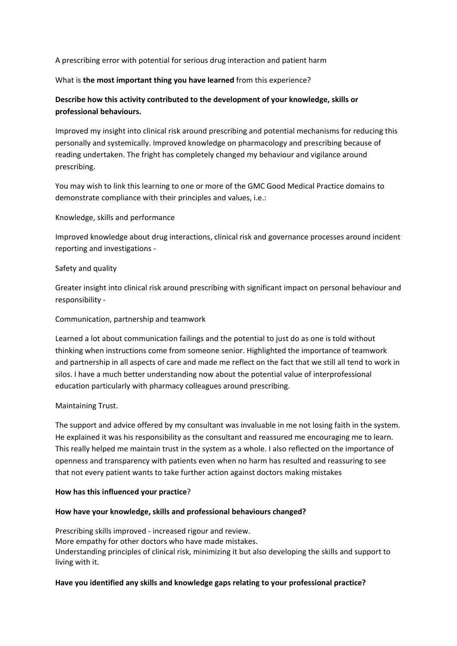A prescribing error with potential for serious drug interaction and patient harm

### What is **the most important thing you have learned** from this experience?

# **Describe how this activity contributed to the development of your knowledge, skills or professional behaviours.**

Improved my insight into clinical risk around prescribing and potential mechanisms for reducing this personally and systemically. Improved knowledge on pharmacology and prescribing because of reading undertaken. The fright has completely changed my behaviour and vigilance around prescribing.

You may wish to link this learning to one or more of the GMC Good Medical Practice domains to demonstrate compliance with their principles and values, i.e.:

### Knowledge, skills and performance

Improved knowledge about drug interactions, clinical risk and governance processes around incident reporting and investigations -

### Safety and quality

Greater insight into clinical risk around prescribing with significant impact on personal behaviour and responsibility -

#### Communication, partnership and teamwork

Learned a lot about communication failings and the potential to just do as one is told without thinking when instructions come from someone senior. Highlighted the importance of teamwork and partnership in all aspects of care and made me reflect on the fact that we still all tend to work in silos. I have a much better understanding now about the potential value of interprofessional education particularly with pharmacy colleagues around prescribing.

### Maintaining Trust.

The support and advice offered by my consultant was invaluable in me not losing faith in the system. He explained it was his responsibility as the consultant and reassured me encouraging me to learn. This really helped me maintain trust in the system as a whole. I also reflected on the importance of openness and transparency with patients even when no harm has resulted and reassuring to see that not every patient wants to take further action against doctors making mistakes

#### **How has this influenced your practice**?

### **How have your knowledge, skills and professional behaviours changed?**

Prescribing skills improved - increased rigour and review. More empathy for other doctors who have made mistakes. Understanding principles of clinical risk, minimizing it but also developing the skills and support to living with it.

### **Have you identified any skills and knowledge gaps relating to your professional practice?**